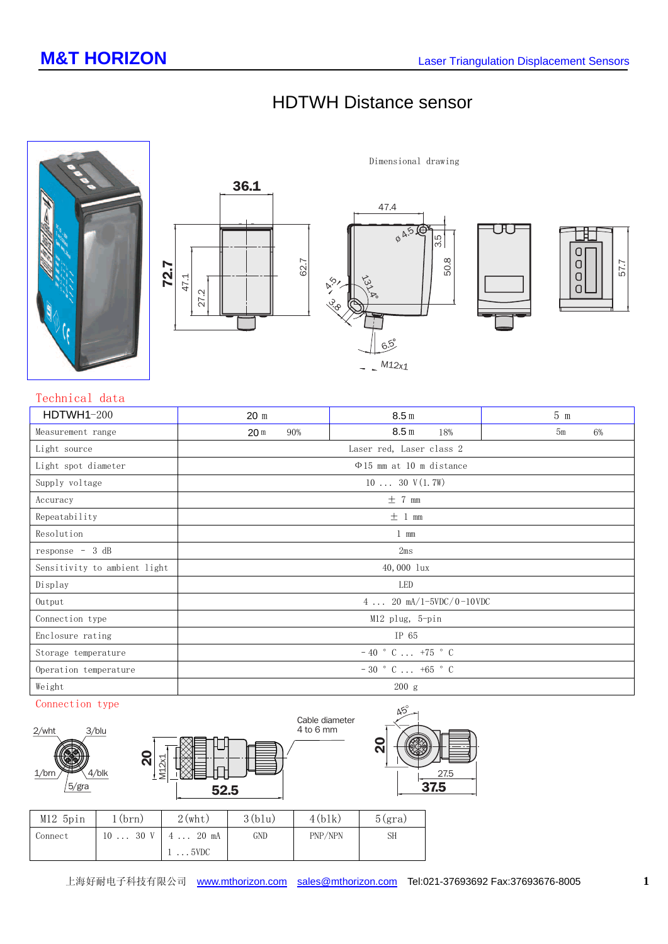UU

# HDTWH Distance sensor







### **Technical data**

| $HDTWH1-200$                 | 20 <sub>m</sub>                                           | 8.5 <sub>m</sub>        | $5 \text{ m}$ |  |  |  |
|------------------------------|-----------------------------------------------------------|-------------------------|---------------|--|--|--|
| Measurement range            | 90%<br>20 <sub>m</sub>                                    | 8.5 <sub>m</sub><br>18% | 5m<br>6%      |  |  |  |
| Light source                 | Laser red, Laser class 2                                  |                         |               |  |  |  |
| Light spot diameter          | $\Phi$ 15 mm at 10 m distance                             |                         |               |  |  |  |
| Supply voltage               | $1030$ V(1.7W)                                            |                         |               |  |  |  |
| Accuracy                     | $\pm$ 7 mm                                                |                         |               |  |  |  |
| Repeatability                | ± 1 mm                                                    |                         |               |  |  |  |
| Resolution                   | $1 \text{ mm}$                                            |                         |               |  |  |  |
| response $-3 dB$             | 2ms                                                       |                         |               |  |  |  |
| Sensitivity to ambient light | 40,000 lux                                                |                         |               |  |  |  |
| Display                      | LED                                                       |                         |               |  |  |  |
| Output                       | $4 \ldots 20 \text{ mA}/1 - 5\text{VDC}/0 - 10\text{VDC}$ |                         |               |  |  |  |
| Connection type              | $M12$ plug, 5-pin                                         |                         |               |  |  |  |
| Enclosure rating             | IP 65                                                     |                         |               |  |  |  |
| Storage temperature          | $-40$ ° C  +75 ° C                                        |                         |               |  |  |  |
| Operation temperature        | $-30$ ° C  +65 ° C                                        |                         |               |  |  |  |
| Weight                       | 200 g                                                     |                         |               |  |  |  |

#### **Connection type**